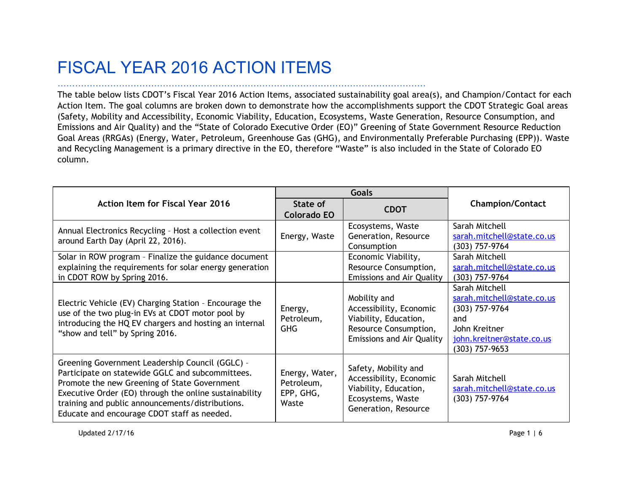## FISCAL YEAR 2016 ACTION ITEMS

………………………………………………………………………………………………………………

The table below lists CDOT's Fiscal Year 2016 Action Items, associated sustainability goal area(s), and Champion/Contact for each Action Item. The goal columns are broken down to demonstrate how the accomplishments support the CDOT Strategic Goal areas (Safety, Mobility and Accessibility, Economic Viability, Education, Ecosystems, Waste Generation, Resource Consumption, and Emissions and Air Quality) and the "State of Colorado Executive Order (EO)" Greening of State Government Resource Reduction Goal Areas (RRGAs) (Energy, Water, Petroleum, Greenhouse Gas (GHG), and Environmentally Preferable Purchasing (EPP)). Waste and Recycling Management is a primary directive in the EO, therefore "Waste" is also included in the State of Colorado EO column.

|                                                                                                                                                                                                                                                                                                                  | <b>Goals</b>                                       |                                                                                                                               |                                                                                                                                           |
|------------------------------------------------------------------------------------------------------------------------------------------------------------------------------------------------------------------------------------------------------------------------------------------------------------------|----------------------------------------------------|-------------------------------------------------------------------------------------------------------------------------------|-------------------------------------------------------------------------------------------------------------------------------------------|
| <b>Action Item for Fiscal Year 2016</b>                                                                                                                                                                                                                                                                          | State of<br><b>Colorado EO</b>                     | <b>CDOT</b>                                                                                                                   | <b>Champion/Contact</b>                                                                                                                   |
| Annual Electronics Recycling - Host a collection event<br>around Earth Day (April 22, 2016).                                                                                                                                                                                                                     | Energy, Waste                                      | Ecosystems, Waste<br>Generation, Resource<br>Consumption                                                                      | Sarah Mitchell<br>sarah.mitchell@state.co.us<br>$(303)$ 757-9764                                                                          |
| Solar in ROW program - Finalize the guidance document<br>explaining the requirements for solar energy generation<br>in CDOT ROW by Spring 2016.                                                                                                                                                                  |                                                    | Economic Viability,<br>Resource Consumption,<br><b>Emissions and Air Quality</b>                                              | Sarah Mitchell<br>sarah.mitchell@state.co.us<br>$(303)$ 757-9764                                                                          |
| Electric Vehicle (EV) Charging Station - Encourage the<br>use of the two plug-in EVs at CDOT motor pool by<br>introducing the HQ EV chargers and hosting an internal<br>"show and tell" by Spring 2016.                                                                                                          | Energy,<br>Petroleum,<br><b>GHG</b>                | Mobility and<br>Accessibility, Economic<br>Viability, Education,<br>Resource Consumption,<br><b>Emissions and Air Quality</b> | Sarah Mitchell<br>sarah.mitchell@state.co.us<br>$(303)$ 757-9764<br>and<br>John Kreitner<br>john.kreitner@state.co.us<br>$(303)$ 757-9653 |
| Greening Government Leadership Council (GGLC) -<br>Participate on statewide GGLC and subcommittees.<br>Promote the new Greening of State Government<br>Executive Order (EO) through the online sustainability<br>training and public announcements/distributions.<br>Educate and encourage CDOT staff as needed. | Energy, Water,<br>Petroleum,<br>EPP, GHG,<br>Waste | Safety, Mobility and<br>Accessibility, Economic<br>Viability, Education,<br>Ecosystems, Waste<br>Generation, Resource         | Sarah Mitchell<br>sarah.mitchell@state.co.us<br>$(303)$ 757-9764                                                                          |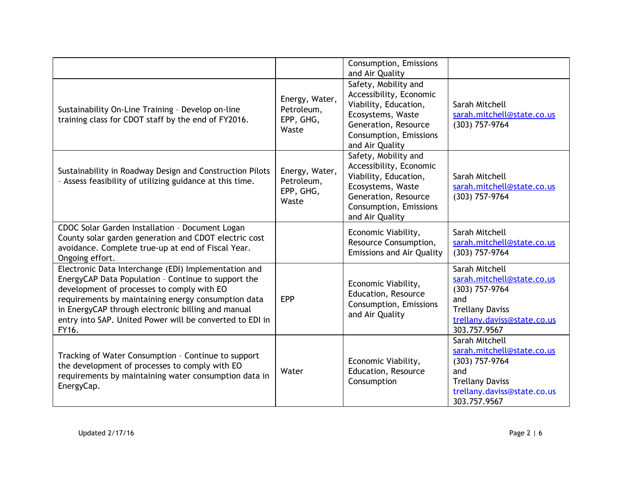|                                                                                                                                                                                                                                                                                                                                             |                                                    | Consumption, Emissions<br>and Air Quality                                                                                                                          |                                                                                                                                                |
|---------------------------------------------------------------------------------------------------------------------------------------------------------------------------------------------------------------------------------------------------------------------------------------------------------------------------------------------|----------------------------------------------------|--------------------------------------------------------------------------------------------------------------------------------------------------------------------|------------------------------------------------------------------------------------------------------------------------------------------------|
| Sustainability On-Line Training - Develop on-line<br>training class for CDOT staff by the end of FY2016.                                                                                                                                                                                                                                    | Energy, Water,<br>Petroleum,<br>EPP, GHG,<br>Waste | Safety, Mobility and<br>Accessibility, Economic<br>Viability, Education,<br>Ecosystems, Waste<br>Generation, Resource<br>Consumption, Emissions<br>and Air Quality | Sarah Mitchell<br>sarah.mitchell@state.co.us<br>(303) 757-9764                                                                                 |
| Sustainability in Roadway Design and Construction Pilots<br>- Assess feasibility of utilizing guidance at this time.                                                                                                                                                                                                                        | Energy, Water,<br>Petroleum,<br>EPP, GHG,<br>Waste | Safety, Mobility and<br>Accessibility, Economic<br>Viability, Education,<br>Ecosystems, Waste<br>Generation, Resource<br>Consumption, Emissions<br>and Air Quality | Sarah Mitchell<br>sarah.mitchell@state.co.us<br>(303) 757-9764                                                                                 |
| CDOC Solar Garden Installation - Document Logan<br>County solar garden generation and CDOT electric cost<br>avoidance. Complete true-up at end of Fiscal Year.<br>Ongoing effort.                                                                                                                                                           |                                                    | Economic Viability,<br>Resource Consumption,<br><b>Emissions and Air Quality</b>                                                                                   | Sarah Mitchell<br>sarah.mitchell@state.co.us<br>(303) 757-9764                                                                                 |
| Electronic Data Interchange (EDI) Implementation and<br>EnergyCAP Data Population - Continue to support the<br>development of processes to comply with EO<br>requirements by maintaining energy consumption data<br>in EnergyCAP through electronic billing and manual<br>entry into SAP. United Power will be converted to EDI in<br>FY16. | <b>EPP</b>                                         | Economic Viability,<br>Education, Resource<br>Consumption, Emissions<br>and Air Quality                                                                            | Sarah Mitchell<br>sarah.mitchell@state.co.us<br>(303) 757-9764<br>and<br><b>Trellany Daviss</b><br>trellany.daviss@state.co.us<br>303.757.9567 |
| Tracking of Water Consumption - Continue to support<br>the development of processes to comply with EO<br>requirements by maintaining water consumption data in<br>EnergyCap.                                                                                                                                                                | Water                                              | Economic Viability,<br>Education, Resource<br>Consumption                                                                                                          | Sarah Mitchell<br>sarah.mitchell@state.co.us<br>(303) 757-9764<br>and<br><b>Trellany Daviss</b><br>trellany.daviss@state.co.us<br>303.757.9567 |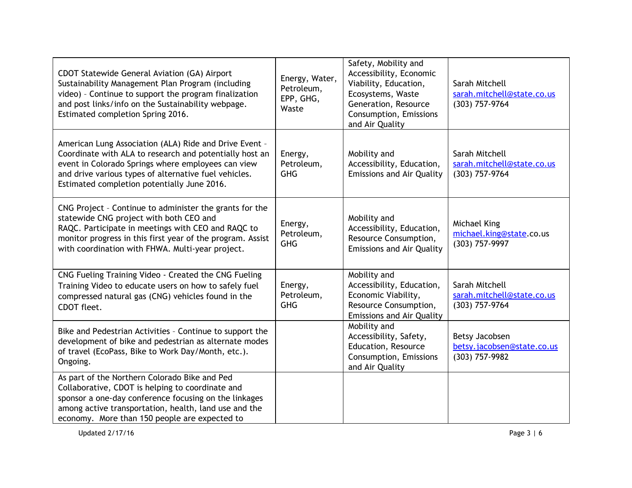| CDOT Statewide General Aviation (GA) Airport<br>Sustainability Management Plan Program (including<br>video) - Continue to support the program finalization<br>and post links/info on the Sustainability webpage.<br>Estimated completion Spring 2016.                           | Energy, Water,<br>Petroleum,<br>EPP, GHG,<br>Waste | Safety, Mobility and<br>Accessibility, Economic<br>Viability, Education,<br>Ecosystems, Waste<br>Generation, Resource<br>Consumption, Emissions<br>and Air Quality | Sarah Mitchell<br>sarah.mitchell@state.co.us<br>(303) 757-9764 |
|---------------------------------------------------------------------------------------------------------------------------------------------------------------------------------------------------------------------------------------------------------------------------------|----------------------------------------------------|--------------------------------------------------------------------------------------------------------------------------------------------------------------------|----------------------------------------------------------------|
| American Lung Association (ALA) Ride and Drive Event -<br>Coordinate with ALA to research and potentially host an<br>event in Colorado Springs where employees can view<br>and drive various types of alternative fuel vehicles.<br>Estimated completion potentially June 2016. | Energy,<br>Petroleum,<br><b>GHG</b>                | Mobility and<br>Accessibility, Education,<br><b>Emissions and Air Quality</b>                                                                                      | Sarah Mitchell<br>sarah.mitchell@state.co.us<br>(303) 757-9764 |
| CNG Project - Continue to administer the grants for the<br>statewide CNG project with both CEO and<br>RAQC. Participate in meetings with CEO and RAQC to<br>monitor progress in this first year of the program. Assist<br>with coordination with FHWA. Multi-year project.      | Energy,<br>Petroleum,<br><b>GHG</b>                | Mobility and<br>Accessibility, Education,<br>Resource Consumption,<br><b>Emissions and Air Quality</b>                                                             | Michael King<br>michael.king@state.co.us<br>(303) 757-9997     |
| CNG Fueling Training Video - Created the CNG Fueling<br>Training Video to educate users on how to safely fuel<br>compressed natural gas (CNG) vehicles found in the<br>CDOT fleet.                                                                                              | Energy,<br>Petroleum,<br><b>GHG</b>                | Mobility and<br>Accessibility, Education,<br>Economic Viability,<br>Resource Consumption,<br><b>Emissions and Air Quality</b>                                      | Sarah Mitchell<br>sarah.mitchell@state.co.us<br>(303) 757-9764 |
| Bike and Pedestrian Activities - Continue to support the<br>development of bike and pedestrian as alternate modes<br>of travel (EcoPass, Bike to Work Day/Month, etc.).<br>Ongoing.                                                                                             |                                                    | Mobility and<br>Accessibility, Safety,<br>Education, Resource<br>Consumption, Emissions<br>and Air Quality                                                         | Betsy Jacobsen<br>betsy.jacobsen@state.co.us<br>(303) 757-9982 |
| As part of the Northern Colorado Bike and Ped<br>Collaborative, CDOT is helping to coordinate and<br>sponsor a one-day conference focusing on the linkages<br>among active transportation, health, land use and the<br>economy. More than 150 people are expected to            |                                                    |                                                                                                                                                                    |                                                                |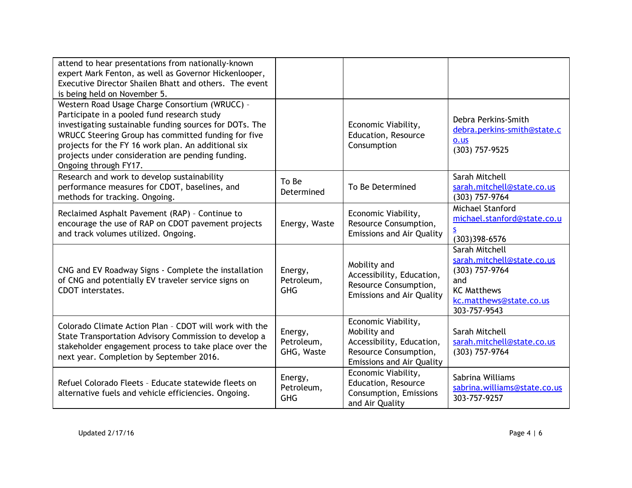| attend to hear presentations from nationally-known<br>expert Mark Fenton, as well as Governor Hickenlooper,<br>Executive Director Shailen Bhatt and others. The event<br>is being held on November 5.                                                                                                                                                |                                     |                                                                                                                               |                                                                                                                                        |
|------------------------------------------------------------------------------------------------------------------------------------------------------------------------------------------------------------------------------------------------------------------------------------------------------------------------------------------------------|-------------------------------------|-------------------------------------------------------------------------------------------------------------------------------|----------------------------------------------------------------------------------------------------------------------------------------|
| Western Road Usage Charge Consortium (WRUCC) -<br>Participate in a pooled fund research study<br>investigating sustainable funding sources for DOTs. The<br>WRUCC Steering Group has committed funding for five<br>projects for the FY 16 work plan. An additional six<br>projects under consideration are pending funding.<br>Ongoing through FY17. |                                     | Economic Viability,<br>Education, Resource<br>Consumption                                                                     | Debra Perkins-Smith<br>debra.perkins-smith@state.c<br>$0.$ us<br>(303) 757-9525                                                        |
| Research and work to develop sustainability<br>performance measures for CDOT, baselines, and<br>methods for tracking. Ongoing.                                                                                                                                                                                                                       | To Be<br>Determined                 | To Be Determined                                                                                                              | Sarah Mitchell<br>sarah.mitchell@state.co.us<br>(303) 757-9764                                                                         |
| Reclaimed Asphalt Pavement (RAP) - Continue to<br>encourage the use of RAP on CDOT pavement projects<br>and track volumes utilized. Ongoing.                                                                                                                                                                                                         | Energy, Waste                       | Economic Viability,<br>Resource Consumption,<br><b>Emissions and Air Quality</b>                                              | Michael Stanford<br>michael.stanford@state.co.u<br>S<br>$(303)398 - 6576$                                                              |
| CNG and EV Roadway Signs - Complete the installation<br>of CNG and potentially EV traveler service signs on<br>CDOT interstates.                                                                                                                                                                                                                     | Energy,<br>Petroleum,<br><b>GHG</b> | Mobility and<br>Accessibility, Education,<br>Resource Consumption,<br><b>Emissions and Air Quality</b>                        | Sarah Mitchell<br>sarah.mitchell@state.co.us<br>(303) 757-9764<br>and<br><b>KC Matthews</b><br>kc.matthews@state.co.us<br>303-757-9543 |
| Colorado Climate Action Plan - CDOT will work with the<br>State Transportation Advisory Commission to develop a<br>stakeholder engagement process to take place over the<br>next year. Completion by September 2016.                                                                                                                                 | Energy,<br>Petroleum,<br>GHG, Waste | Economic Viability,<br>Mobility and<br>Accessibility, Education,<br>Resource Consumption,<br><b>Emissions and Air Quality</b> | Sarah Mitchell<br>sarah.mitchell@state.co.us<br>(303) 757-9764                                                                         |
| Refuel Colorado Fleets - Educate statewide fleets on<br>alternative fuels and vehicle efficiencies. Ongoing.                                                                                                                                                                                                                                         | Energy,<br>Petroleum,<br><b>GHG</b> | Economic Viability,<br>Education, Resource<br>Consumption, Emissions<br>and Air Quality                                       | Sabrina Williams<br>sabrina.williams@state.co.us<br>303-757-9257                                                                       |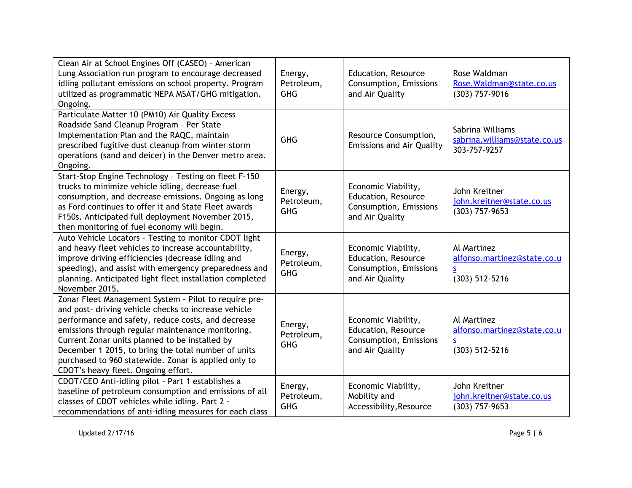| Clean Air at School Engines Off (CASEO) - American<br>Lung Association run program to encourage decreased<br>idling pollutant emissions on school property. Program<br>utilized as programmatic NEPA MSAT/GHG mitigation.<br>Ongoing.                                                                                                                                                                                            | Energy,<br>Petroleum,<br><b>GHG</b> | Education, Resource<br>Consumption, Emissions<br>and Air Quality                        | Rose Waldman<br>Rose. Waldman@state.co.us<br>(303) 757-9016              |
|----------------------------------------------------------------------------------------------------------------------------------------------------------------------------------------------------------------------------------------------------------------------------------------------------------------------------------------------------------------------------------------------------------------------------------|-------------------------------------|-----------------------------------------------------------------------------------------|--------------------------------------------------------------------------|
| Particulate Matter 10 (PM10) Air Quality Excess<br>Roadside Sand Cleanup Program - Per State<br>Implementation Plan and the RAQC, maintain<br>prescribed fugitive dust cleanup from winter storm<br>operations (sand and deicer) in the Denver metro area.<br>Ongoing.                                                                                                                                                           | <b>GHG</b>                          | Resource Consumption,<br><b>Emissions and Air Quality</b>                               | Sabrina Williams<br>sabrina.williams@state.co.us<br>303-757-9257         |
| Start-Stop Engine Technology - Testing on fleet F-150<br>trucks to minimize vehicle idling, decrease fuel<br>consumption, and decrease emissions. Ongoing as long<br>as Ford continues to offer it and State Fleet awards<br>F150s. Anticipated full deployment November 2015,<br>then monitoring of fuel economy will begin.                                                                                                    | Energy,<br>Petroleum,<br><b>GHG</b> | Economic Viability,<br>Education, Resource<br>Consumption, Emissions<br>and Air Quality | John Kreitner<br>john.kreitner@state.co.us<br>$(303)$ 757-9653           |
| Auto Vehicle Locators - Testing to monitor CDOT light<br>and heavy fleet vehicles to increase accountability,<br>improve driving efficiencies (decrease idling and<br>speeding), and assist with emergency preparedness and<br>planning. Anticipated light fleet installation completed<br>November 2015.                                                                                                                        | Energy,<br>Petroleum,<br><b>GHG</b> | Economic Viability,<br>Education, Resource<br>Consumption, Emissions<br>and Air Quality | Al Martinez<br>alfonso.martinez@state.co.u<br><u>s</u><br>(303) 512-5216 |
| Zonar Fleet Management System - Pilot to require pre-<br>and post- driving vehicle checks to increase vehicle<br>performance and safety, reduce costs, and decrease<br>emissions through regular maintenance monitoring.<br>Current Zonar units planned to be installed by<br>December 1 2015, to bring the total number of units<br>purchased to 960 statewide. Zonar is applied only to<br>CDOT's heavy fleet. Ongoing effort. | Energy,<br>Petroleum,<br><b>GHG</b> | Economic Viability,<br>Education, Resource<br>Consumption, Emissions<br>and Air Quality | Al Martinez<br>alfonso.martinez@state.co.u<br><u>s</u><br>(303) 512-5216 |
| CDOT/CEO Anti-idling pilot - Part 1 establishes a<br>baseline of petroleum consumption and emissions of all<br>classes of CDOT vehicles while idling. Part 2 -<br>recommendations of anti-idling measures for each class                                                                                                                                                                                                         | Energy,<br>Petroleum,<br><b>GHG</b> | Economic Viability,<br>Mobility and<br>Accessibility, Resource                          | John Kreitner<br>john.kreitner@state.co.us<br>$(303)$ 757-9653           |